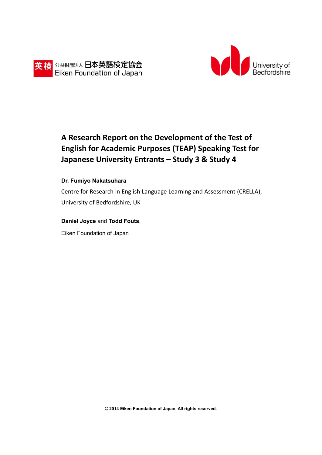



# **A Research Report on the Development of the Test of English for Academic Purposes (TEAP) Speaking Test for Japanese University Entrants – Study 3 & Study 4**

#### **Dr. Fumiyo Nakatsuhara**

Centre for Research in English Language Learning and Assessment (CRELLA), University of Bedfordshire, UK

#### **Daniel Joyce** and **Todd Fouts**,

Eiken Foundation of Japan

**© 2014 Eiken Foundation of Japan. All rights reserved.**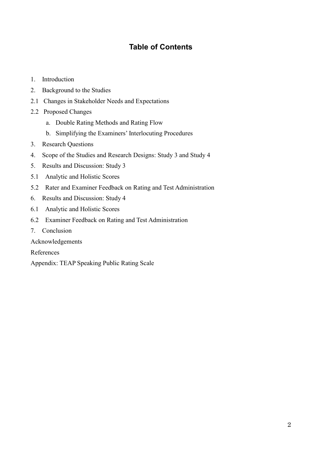# **Table of Contents**

- 1. Introduction
- 2. Background to the Studies
- 2.1 Changes in Stakeholder Needs and Expectations
- 2.2 Proposed Changes
	- a. Double Rating Methods and Rating Flow
	- b. Simplifying the Examiners' Interlocuting Procedures
- 3. Research Questions
- 4. Scope of the Studies and Research Designs: Study 3 and Study 4
- 5. Results and Discussion: Study 3
- 5.1 Analytic and Holistic Scores
- 5.2 Rater and Examiner Feedback on Rating and Test Administration
- 6. Results and Discussion: Study 4
- 6.1 Analytic and Holistic Scores
- 6.2 Examiner Feedback on Rating and Test Administration
- 7. Conclusion
- Acknowledgements

References

Appendix: TEAP Speaking Public Rating Scale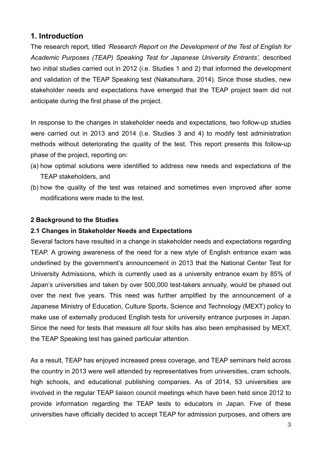# **1. Introduction**

The research report, titled *'Research Report on the Development of the Test of English for Academic Purposes (TEAP) Speaking Test for Japanese University Entrants',* described two initial studies carried out in 2012 (i.e. Studies 1 and 2) that informed the development and validation of the TEAP Speaking test (Nakatsuhara, 2014). Since those studies, new stakeholder needs and expectations have emerged that the TEAP project team did not anticipate during the first phase of the project.

In response to the changes in stakeholder needs and expectations, two follow-up studies were carried out in 2013 and 2014 (i.e. Studies 3 and 4) to modify test administration methods without deteriorating the quality of the test. This report presents this follow-up phase of the project, reporting on:

- (a) how optimal solutions were identified to address new needs and expectations of the TEAP stakeholders, and
- (b) how the quality of the test was retained and sometimes even improved after some modifications were made to the test.

### **2 Background to the Studies**

### **2.1 Changes in Stakeholder Needs and Expectations**

Several factors have resulted in a change in stakeholder needs and expectations regarding TEAP. A growing awareness of the need for a new style of English entrance exam was underlined by the government's announcement in 2013 that the National Center Test for University Admissions, which is currently used as a university entrance exam by 85% of Japan's universities and taken by over 500,000 test-takers annually, would be phased out over the next five years. This need was further amplified by the announcement of a Japanese Ministry of Education, Culture Sports, Science and Technology (MEXT) policy to make use of externally produced English tests for university entrance purposes in Japan. Since the need for tests that measure all four skills has also been emphasised by MEXT, the TEAP Speaking test has gained particular attention.

As a result, TEAP has enjoyed increased press coverage, and TEAP seminars held across the country in 2013 were well attended by representatives from universities, cram schools, high schools, and educational publishing companies. As of 2014, 53 universities are involved in the regular TEAP liaison council meetings which have been held since 2012 to provide information regarding the TEAP tests to educators in Japan. Five of these universities have officially decided to accept TEAP for admission purposes, and others are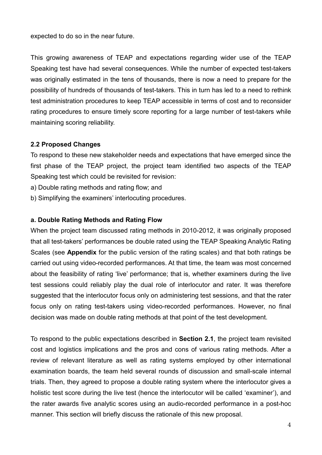expected to do so in the near future.

This growing awareness of TEAP and expectations regarding wider use of the TEAP Speaking test have had several consequences. While the number of expected test-takers was originally estimated in the tens of thousands, there is now a need to prepare for the possibility of hundreds of thousands of test-takers. This in turn has led to a need to rethink test administration procedures to keep TEAP accessible in terms of cost and to reconsider rating procedures to ensure timely score reporting for a large number of test-takers while maintaining scoring reliability.

### **2.2 Proposed Changes**

To respond to these new stakeholder needs and expectations that have emerged since the first phase of the TEAP project, the project team identified two aspects of the TEAP Speaking test which could be revisited for revision:

a) Double rating methods and rating flow; and

b) Simplifying the examiners' interlocuting procedures.

### **a. Double Rating Methods and Rating Flow**

When the project team discussed rating methods in 2010-2012, it was originally proposed that all test-takers' performances be double rated using the TEAP Speaking Analytic Rating Scales (see **Appendix** for the public version of the rating scales) and that both ratings be carried out using video-recorded performances. At that time, the team was most concerned about the feasibility of rating 'live' performance; that is, whether examiners during the live test sessions could reliably play the dual role of interlocutor and rater. It was therefore suggested that the interlocutor focus only on administering test sessions, and that the rater focus only on rating test-takers using video-recorded performances. However, no final decision was made on double rating methods at that point of the test development.

To respond to the public expectations described in **Section 2.1**, the project team revisited cost and logistics implications and the pros and cons of various rating methods. After a review of relevant literature as well as rating systems employed by other international examination boards, the team held several rounds of discussion and small-scale internal trials. Then, they agreed to propose a double rating system where the interlocutor gives a holistic test score during the live test (hence the interlocutor will be called 'examiner'), and the rater awards five analytic scores using an audio-recorded performance in a post-hoc manner. This section will briefly discuss the rationale of this new proposal.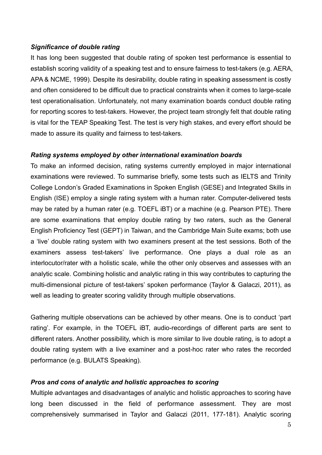### *Significance of double rating*

It has long been suggested that double rating of spoken test performance is essential to establish scoring validity of a speaking test and to ensure fairness to test-takers (e.g. AERA, APA & NCME, 1999). Despite its desirability, double rating in speaking assessment is costly and often considered to be difficult due to practical constraints when it comes to large-scale test operationalisation. Unfortunately, not many examination boards conduct double rating for reporting scores to test-takers. However, the project team strongly felt that double rating is vital for the TEAP Speaking Test. The test is very high stakes, and every effort should be made to assure its quality and fairness to test-takers.

### *Rating systems employed by other international examination boards*

To make an informed decision, rating systems currently employed in major international examinations were reviewed. To summarise briefly, some tests such as IELTS and Trinity College London's Graded Examinations in Spoken English (GESE) and Integrated Skills in English (ISE) employ a single rating system with a human rater. Computer-delivered tests may be rated by a human rater (e.g. TOEFL iBT) or a machine (e.g. Pearson PTE). There are some examinations that employ double rating by two raters, such as the General English Proficiency Test (GEPT) in Taiwan, and the Cambridge Main Suite exams; both use a 'live' double rating system with two examiners present at the test sessions. Both of the examiners assess test-takers' live performance. One plays a dual role as an interlocutor/rater with a holistic scale, while the other only observes and assesses with an analytic scale. Combining holistic and analytic rating in this way contributes to capturing the multi-dimensional picture of test-takers' spoken performance (Taylor & Galaczi, 2011), as well as leading to greater scoring validity through multiple observations.

Gathering multiple observations can be achieved by other means. One is to conduct 'part rating'. For example, in the TOEFL iBT, audio-recordings of different parts are sent to different raters. Another possibility, which is more similar to live double rating, is to adopt a double rating system with a live examiner and a post-hoc rater who rates the recorded performance (e.g. BULATS Speaking).

### *Pros and cons of analytic and holistic approaches to scoring*

Multiple advantages and disadvantages of analytic and holistic approaches to scoring have long been discussed in the field of performance assessment. They are most comprehensively summarised in Taylor and Galaczi (2011, 177-181). Analytic scoring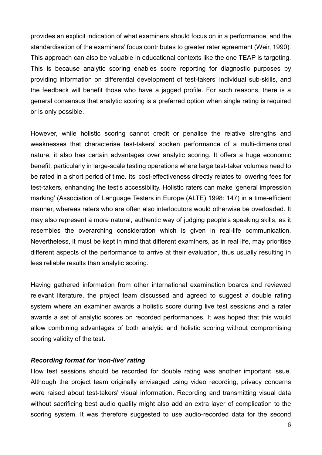provides an explicit indication of what examiners should focus on in a performance, and the standardisation of the examiners' focus contributes to greater rater agreement (Weir, 1990). This approach can also be valuable in educational contexts like the one TEAP is targeting. This is because analytic scoring enables score reporting for diagnostic purposes by providing information on differential development of test-takers' individual sub-skills, and the feedback will benefit those who have a jagged profile. For such reasons, there is a general consensus that analytic scoring is a preferred option when single rating is required or is only possible.

However, while holistic scoring cannot credit or penalise the relative strengths and weaknesses that characterise test-takers' spoken performance of a multi-dimensional nature, it also has certain advantages over analytic scoring. It offers a huge economic benefit, particularly in large-scale testing operations where large test-taker volumes need to be rated in a short period of time. Its' cost-effectiveness directly relates to lowering fees for test-takers, enhancing the test's accessibility. Holistic raters can make 'general impression marking' (Association of Language Testers in Europe (ALTE) 1998: 147) in a time-efficient manner, whereas raters who are often also interlocutors would otherwise be overloaded. It may also represent a more natural, authentic way of judging people's speaking skills, as it resembles the overarching consideration which is given in real-life communication. Nevertheless, it must be kept in mind that different examiners, as in real life, may prioritise different aspects of the performance to arrive at their evaluation, thus usually resulting in less reliable results than analytic scoring.

Having gathered information from other international examination boards and reviewed relevant literature, the project team discussed and agreed to suggest a double rating system where an examiner awards a holistic score during live test sessions and a rater awards a set of analytic scores on recorded performances. It was hoped that this would allow combining advantages of both analytic and holistic scoring without compromising scoring validity of the test.

#### *Recording format for 'non-live' rating*

How test sessions should be recorded for double rating was another important issue. Although the project team originally envisaged using video recording, privacy concerns were raised about test-takers' visual information. Recording and transmitting visual data without sacrificing best audio quality might also add an extra layer of complication to the scoring system. It was therefore suggested to use audio-recorded data for the second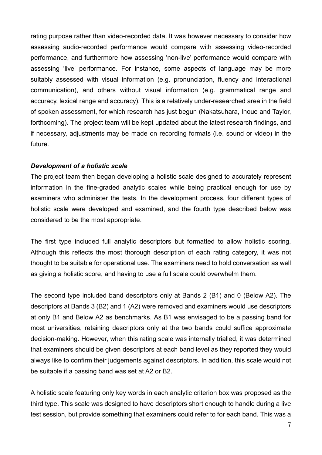rating purpose rather than video-recorded data. It was however necessary to consider how assessing audio-recorded performance would compare with assessing video-recorded performance, and furthermore how assessing 'non-live' performance would compare with assessing 'live' performance. For instance, some aspects of language may be more suitably assessed with visual information (e.g. pronunciation, fluency and interactional communication), and others without visual information (e.g. grammatical range and accuracy, lexical range and accuracy). This is a relatively under-researched area in the field of spoken assessment, for which research has just begun (Nakatsuhara, Inoue and Taylor, forthcoming). The project team will be kept updated about the latest research findings, and if necessary, adjustments may be made on recording formats (i.e. sound or video) in the future.

### *Development of a holistic scale*

The project team then began developing a holistic scale designed to accurately represent information in the fine-graded analytic scales while being practical enough for use by examiners who administer the tests. In the development process, four different types of holistic scale were developed and examined, and the fourth type described below was considered to be the most appropriate.

The first type included full analytic descriptors but formatted to allow holistic scoring. Although this reflects the most thorough description of each rating category, it was not thought to be suitable for operational use. The examiners need to hold conversation as well as giving a holistic score, and having to use a full scale could overwhelm them.

The second type included band descriptors only at Bands 2 (B1) and 0 (Below A2). The descriptors at Bands 3 (B2) and 1 (A2) were removed and examiners would use descriptors at only B1 and Below A2 as benchmarks. As B1 was envisaged to be a passing band for most universities, retaining descriptors only at the two bands could suffice approximate decision-making. However, when this rating scale was internally trialled, it was determined that examiners should be given descriptors at each band level as they reported they would always like to confirm their judgements against descriptors. In addition, this scale would not be suitable if a passing band was set at A2 or B2.

A holistic scale featuring only key words in each analytic criterion box was proposed as the third type. This scale was designed to have descriptors short enough to handle during a live test session, but provide something that examiners could refer to for each band. This was a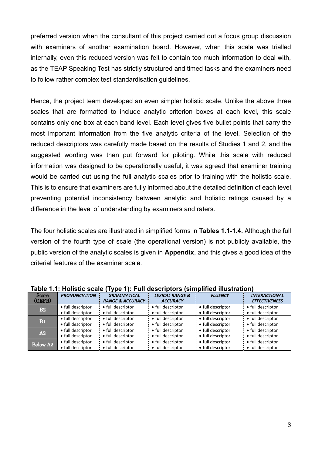preferred version when the consultant of this project carried out a focus group discussion with examiners of another examination board. However, when this scale was trialled internally, even this reduced version was felt to contain too much information to deal with, as the TEAP Speaking Test has strictly structured and timed tasks and the examiners need to follow rather complex test standardisation guidelines.

Hence, the project team developed an even simpler holistic scale. Unlike the above three scales that are formatted to include analytic criterion boxes at each level, this scale contains only one box at each band level. Each level gives five bullet points that carry the most important information from the five analytic criteria of the level. Selection of the reduced descriptors was carefully made based on the results of Studies 1 and 2, and the suggested wording was then put forward for piloting. While this scale with reduced information was designed to be operationally useful, it was agreed that examiner training would be carried out using the full analytic scales prior to training with the holistic scale. This is to ensure that examiners are fully informed about the detailed definition of each level, preventing potential inconsistency between analytic and holistic ratings caused by a difference in the level of understanding by examiners and raters.

The four holistic scales are illustrated in simplified forms in **Tables 1.1-1.4.** Although the full version of the fourth type of scale (the operational version) is not publicly available, the public version of the analytic scales is given in **Appendix**, and this gives a good idea of the criterial features of the examiner scale.

|                 | iable T.T. Hollstic scale<br>$1.906$ T. Tull acsort to the $3.1$<br>ISIIIIDIIIIEU IIIUSU AUVIII |                             |                            |                   |                      |  |  |
|-----------------|-------------------------------------------------------------------------------------------------|-----------------------------|----------------------------|-------------------|----------------------|--|--|
| <b>Score</b>    | <b>PRONUNCIATION</b>                                                                            | <b>GRAMMATICAL</b>          | <b>LEXICAL RANGE &amp;</b> | <b>FLUENCY</b>    | <b>INTERACTIONAL</b> |  |  |
| (CEFR)          |                                                                                                 | <b>RANGE &amp; ACCURACY</b> | <b>ACCURACY</b>            |                   | <b>EFFECTIVENESS</b> |  |  |
| B2              | • full descriptor                                                                               | • full descriptor           | • full descriptor          | • full descriptor | • full descriptor    |  |  |
|                 | • full descriptor                                                                               | • full descriptor           | • full descriptor          | • full descriptor | • full descriptor    |  |  |
|                 | • full descriptor                                                                               | • full descriptor           | • full descriptor          | • full descriptor | • full descriptor    |  |  |
| <b>B1</b>       | • full descriptor                                                                               | • full descriptor           | • full descriptor          | • full descriptor | • full descriptor    |  |  |
| A2              | • full descriptor                                                                               | • full descriptor           | • full descriptor          | • full descriptor | • full descriptor    |  |  |
|                 | • full descriptor                                                                               | • full descriptor           | • full descriptor          | • full descriptor | • full descriptor    |  |  |
|                 | • full descriptor                                                                               | • full descriptor           | • full descriptor          | • full descriptor | • full descriptor    |  |  |
| <b>Below A2</b> | • full descriptor                                                                               | • full descriptor           | • full descriptor          | • full descriptor | • full descriptor    |  |  |

**Table 1.1: Holistic scale (Type 1): Full descriptors (simplified illustration)**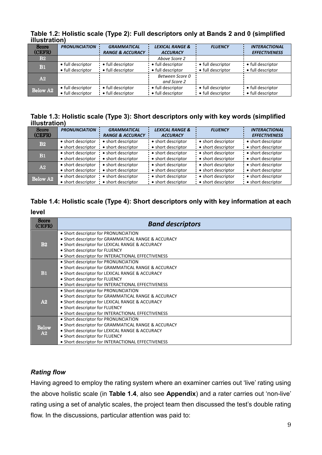| mustration)     |                      |                             |                            |                   |                      |  |  |
|-----------------|----------------------|-----------------------------|----------------------------|-------------------|----------------------|--|--|
| <b>Score</b>    | <b>PRONUNCIATION</b> | <b>GRAMMATICAL</b>          | <b>LEXICAL RANGE &amp;</b> | <b>FLUENCY</b>    | <b>INTERACTIONAL</b> |  |  |
| (CEFR)          |                      | <b>RANGE &amp; ACCURACY</b> | <b>ACCURACY</b>            |                   | <b>EFFECTIVENESS</b> |  |  |
| B2              |                      |                             | Above Score 2              |                   |                      |  |  |
| <b>B1</b>       | • full descriptor    | • full descriptor           | • full descriptor          | • full descriptor | • full descriptor    |  |  |
|                 | • full descriptor    | • full descriptor           | • full descriptor          | • full descriptor | • full descriptor    |  |  |
| A2              |                      |                             | Between Score 0            |                   |                      |  |  |
|                 |                      |                             | and Score 2                |                   |                      |  |  |
|                 | • full descriptor    | • full descriptor           | • full descriptor          | • full descriptor | • full descriptor    |  |  |
| <b>Below A2</b> | • full descriptor    | • full descriptor           | • full descriptor          | • full descriptor | • full descriptor    |  |  |

**Table 1.2: Holistic scale (Type 2): Full descriptors only at Bands 2 and 0 (simplified illustration)** 

### **Table 1.3: Holistic scale (Type 3): Short descriptors only with key words (simplified illustration)**

| <b>Score</b><br>(CEFR) | <b>PRONUNCIATION</b> | <b>GRAMMATICAL</b><br><b>RANGE &amp; ACCURACY</b> | <b>LEXICAL RANGE &amp;</b><br><b>ACCURACY</b> | <b>FLUENCY</b>     | <b>INTERACTIONAL</b><br><b>EFFECTIVENESS</b> |
|------------------------|----------------------|---------------------------------------------------|-----------------------------------------------|--------------------|----------------------------------------------|
| B2                     | • short descriptor   | • short descriptor                                | • short descriptor                            | • short descriptor | • short descriptor                           |
|                        | • short descriptor   | • short descriptor                                | • short descriptor                            | • short descriptor | • short descriptor                           |
| <b>B1</b>              | • short descriptor   | • short descriptor                                | • short descriptor                            | • short descriptor | • short descriptor                           |
|                        | • short descriptor   | • short descriptor                                | • short descriptor                            | • short descriptor | • short descriptor                           |
| A2                     | • short descriptor   | • short descriptor                                | • short descriptor                            | • short descriptor | • short descriptor                           |
|                        | • short descriptor   | • short descriptor                                | • short descriptor                            | • short descriptor | • short descriptor                           |
| <b>Below A2</b>        | • short descriptor   | • short descriptor                                | • short descriptor                            | • short descriptor | • short descriptor                           |
|                        | • short descriptor   | • short descriptor                                | • short descriptor                            | • short descriptor | • short descriptor                           |

## **Table 1.4: Holistic scale (Type 4): Short descriptors only with key information at each**

#### **level**

| <b>Score</b><br>(CEFR) | <b>Band descriptors</b>                             |
|------------------------|-----------------------------------------------------|
|                        | • Short descriptor for PRONUNCIATION                |
|                        | • Short descriptor for GRAMMATICAL RANGE & ACCURACY |
| B2                     | • Short descriptor for LEXICAL RANGE & ACCURACY     |
|                        | • Short descriptor for FLUENCY                      |
|                        | • Short descriptor for INTERACTIONAL EFFECTIVENESS  |
|                        | • Short descriptor for PRONUNCIATION                |
|                        | • Short descriptor for GRAMMATICAL RANGE & ACCURACY |
| <b>B1</b>              | • Short descriptor for LEXICAL RANGE & ACCURACY     |
|                        | • Short descriptor for FLUENCY                      |
|                        | • Short descriptor for INTERACTIONAL EFFECTIVENESS  |
|                        | • Short descriptor for PRONUNCIATION                |
|                        | • Short descriptor for GRAMMATICAL RANGE & ACCURACY |
| A2                     | • Short descriptor for LEXICAL RANGE & ACCURACY     |
|                        | • Short descriptor for FLUENCY                      |
|                        | • Short descriptor for INTERACTIONAL EFFECTIVENESS  |
|                        | • Short descriptor for PRONUNCIATION                |
| <b>Below</b>           | • Short descriptor for GRAMMATICAL RANGE & ACCURACY |
| A2                     | • Short descriptor for LEXICAL RANGE & ACCURACY     |
|                        | • Short descriptor for FLUENCY                      |
|                        | • Short descriptor for INTERACTIONAL EFFECTIVENESS  |

### *Rating flow*

Having agreed to employ the rating system where an examiner carries out 'live' rating using the above holistic scale (in **Table 1.4**, also see **Appendix**) and a rater carries out 'non-live' rating using a set of analytic scales, the project team then discussed the test's double rating flow. In the discussions, particular attention was paid to: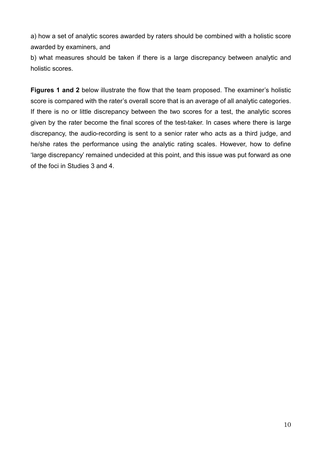a) how a set of analytic scores awarded by raters should be combined with a holistic score awarded by examiners, and

b) what measures should be taken if there is a large discrepancy between analytic and holistic scores.

**Figures 1 and 2** below illustrate the flow that the team proposed. The examiner's holistic score is compared with the rater's overall score that is an average of all analytic categories. If there is no or little discrepancy between the two scores for a test, the analytic scores given by the rater become the final scores of the test-taker. In cases where there is large discrepancy, the audio-recording is sent to a senior rater who acts as a third judge, and he/she rates the performance using the analytic rating scales. However, how to define 'large discrepancy' remained undecided at this point, and this issue was put forward as one of the foci in Studies 3 and 4.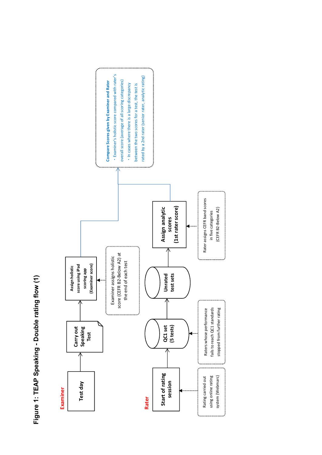Figure 1: TEAP Speaking - Double rating flow (1) **Figure 1: TEAP Speaking - Double rating flow (1)**

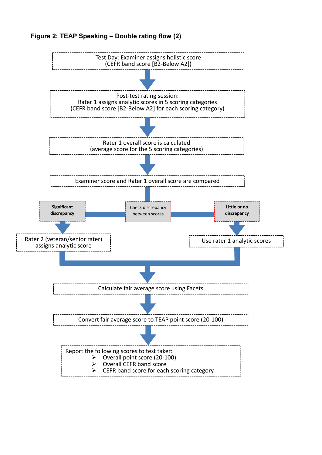

### **Figure 2: TEAP Speaking – Double rating flow (2)**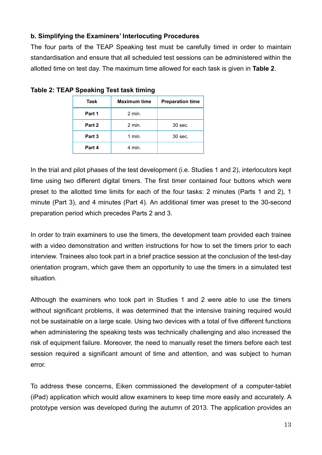### **b. Simplifying the Examiners' Interlocuting Procedures**

The four parts of the TEAP Speaking test must be carefully timed in order to maintain standardisation and ensure that all scheduled test sessions can be administered within the allotted time on test day. The maximum time allowed for each task is given in **Table 2**.

| Task   | <b>Maximum time</b> | <b>Preparation time</b> |
|--------|---------------------|-------------------------|
| Part 1 | $2$ min.            |                         |
| Part 2 | $2$ min.            | 30 sec.                 |
| Part 3 | $1$ min.            | 30 sec.                 |
| Part 4 | 4 min.              |                         |

**Table 2: TEAP Speaking Test task timing** 

In the trial and pilot phases of the test development (i.e. Studies 1 and 2), interlocutors kept time using two different digital timers. The first timer contained four buttons which were preset to the allotted time limits for each of the four tasks: 2 minutes (Parts 1 and 2), 1 minute (Part 3), and 4 minutes (Part 4). An additional timer was preset to the 30-second preparation period which precedes Parts 2 and 3.

In order to train examiners to use the timers, the development team provided each trainee with a video demonstration and written instructions for how to set the timers prior to each interview. Trainees also took part in a brief practice session at the conclusion of the test-day orientation program, which gave them an opportunity to use the timers in a simulated test situation.

Although the examiners who took part in Studies 1 and 2 were able to use the timers without significant problems, it was determined that the intensive training required would not be sustainable on a large scale. Using two devices with a total of five different functions when administering the speaking tests was technically challenging and also increased the risk of equipment failure. Moreover, the need to manually reset the timers before each test session required a significant amount of time and attention, and was subject to human error.

To address these concerns, Eiken commissioned the development of a computer-tablet (iPad) application which would allow examiners to keep time more easily and accurately. A prototype version was developed during the autumn of 2013. The application provides an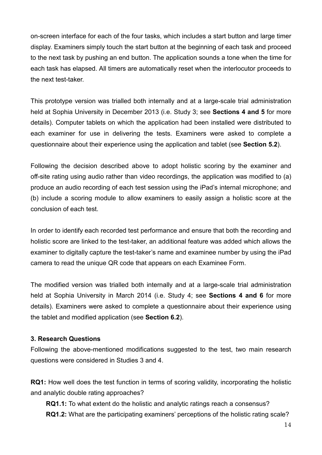on-screen interface for each of the four tasks, which includes a start button and large timer display. Examiners simply touch the start button at the beginning of each task and proceed to the next task by pushing an end button. The application sounds a tone when the time for each task has elapsed. All timers are automatically reset when the interlocutor proceeds to the next test-taker.

This prototype version was trialled both internally and at a large-scale trial administration held at Sophia University in December 2013 (i.e. Study 3; see **Sections 4 and 5** for more details). Computer tablets on which the application had been installed were distributed to each examiner for use in delivering the tests. Examiners were asked to complete a questionnaire about their experience using the application and tablet (see **Section 5.2**).

Following the decision described above to adopt holistic scoring by the examiner and off-site rating using audio rather than video recordings, the application was modified to (a) produce an audio recording of each test session using the iPad's internal microphone; and (b) include a scoring module to allow examiners to easily assign a holistic score at the conclusion of each test.

In order to identify each recorded test performance and ensure that both the recording and holistic score are linked to the test-taker, an additional feature was added which allows the examiner to digitally capture the test-taker's name and examinee number by using the iPad camera to read the unique QR code that appears on each Examinee Form.

The modified version was trialled both internally and at a large-scale trial administration held at Sophia University in March 2014 (i.e. Study 4; see **Sections 4 and 6** for more details). Examiners were asked to complete a questionnaire about their experience using the tablet and modified application (see **Section 6.2**).

### **3. Research Questions**

Following the above-mentioned modifications suggested to the test, two main research questions were considered in Studies 3 and 4.

**RQ1:** How well does the test function in terms of scoring validity, incorporating the holistic and analytic double rating approaches?

**RQ1.1:** To what extent do the holistic and analytic ratings reach a consensus? **RQ1.2:** What are the participating examiners' perceptions of the holistic rating scale?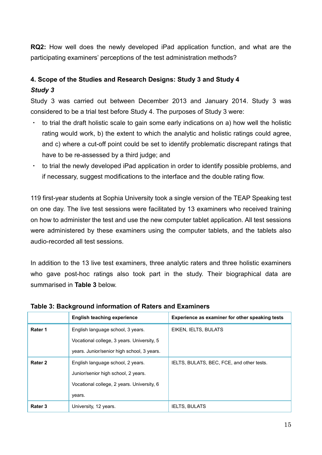**RQ2:** How well does the newly developed iPad application function, and what are the participating examiners' perceptions of the test administration methods?

## **4. Scope of the Studies and Research Designs: Study 3 and Study 4** *Study 3*

Study 3 was carried out between December 2013 and January 2014. Study 3 was considered to be a trial test before Study 4. The purposes of Study 3 were:

- to trial the draft holistic scale to gain some early indications on a) how well the holistic rating would work, b) the extent to which the analytic and holistic ratings could agree, and c) where a cut-off point could be set to identify problematic discrepant ratings that have to be re-assessed by a third judge; and
- to trial the newly developed iPad application in order to identify possible problems, and if necessary, suggest modifications to the interface and the double rating flow.

119 first-year students at Sophia University took a single version of the TEAP Speaking test on one day. The live test sessions were facilitated by 13 examiners who received training on how to administer the test and use the new computer tablet application. All test sessions were administered by these examiners using the computer tablets, and the tablets also audio-recorded all test sessions.

In addition to the 13 live test examiners, three analytic raters and three holistic examiners who gave post-hoc ratings also took part in the study. Their biographical data are summarised in **Table 3** below.

|                    | <b>English teaching experience</b>         | Experience as examiner for other speaking tests |  |
|--------------------|--------------------------------------------|-------------------------------------------------|--|
| Rater 1            | English language school, 3 years.          | EIKEN, IELTS, BULATS                            |  |
|                    | Vocational college, 3 years. University, 5 |                                                 |  |
|                    | years. Junior/senior high school, 3 years. |                                                 |  |
| Rater <sub>2</sub> | English language school, 2 years.          | IELTS, BULATS, BEC, FCE, and other tests.       |  |
|                    | Junior/senior high school, 2 years.        |                                                 |  |
|                    | Vocational college, 2 years. University, 6 |                                                 |  |
|                    | years.                                     |                                                 |  |
| Rater 3            | University, 12 years.                      | <b>IELTS, BULATS</b>                            |  |

### **Table 3: Background information of Raters and Examiners**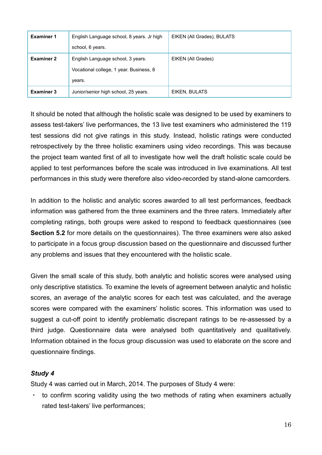| <b>Examiner 1</b> | English Language school, 8 years. Jr high | EIKEN (All Grades), BULATS |
|-------------------|-------------------------------------------|----------------------------|
|                   | school, 6 years.                          |                            |
| <b>Examiner 2</b> | English Language school, 3 years.         | EIKEN (All Grades)         |
|                   | Vocational college, 1 year. Business, 8   |                            |
|                   | years.                                    |                            |
| <b>Examiner 3</b> | Junior/senior high school, 25 years.      | EIKEN, BULATS              |

It should be noted that although the holistic scale was designed to be used by examiners to assess test-takers' live performances, the 13 live test examiners who administered the 119 test sessions did not give ratings in this study. Instead, holistic ratings were conducted retrospectively by the three holistic examiners using video recordings. This was because the project team wanted first of all to investigate how well the draft holistic scale could be applied to test performances before the scale was introduced in live examinations. All test performances in this study were therefore also video-recorded by stand-alone camcorders.

In addition to the holistic and analytic scores awarded to all test performances, feedback information was gathered from the three examiners and the three raters. Immediately after completing ratings, both groups were asked to respond to feedback questionnaires (see **Section 5.2** for more details on the questionnaires). The three examiners were also asked to participate in a focus group discussion based on the questionnaire and discussed further any problems and issues that they encountered with the holistic scale.

Given the small scale of this study, both analytic and holistic scores were analysed using only descriptive statistics. To examine the levels of agreement between analytic and holistic scores, an average of the analytic scores for each test was calculated, and the average scores were compared with the examiners' holistic scores. This information was used to suggest a cut-off point to identify problematic discrepant ratings to be re-assessed by a third judge. Questionnaire data were analysed both quantitatively and qualitatively. Information obtained in the focus group discussion was used to elaborate on the score and questionnaire findings.

### *Study 4*

Study 4 was carried out in March, 2014. The purposes of Study 4 were:

 $\cdot$  to confirm scoring validity using the two methods of rating when examiners actually rated test-takers' live performances;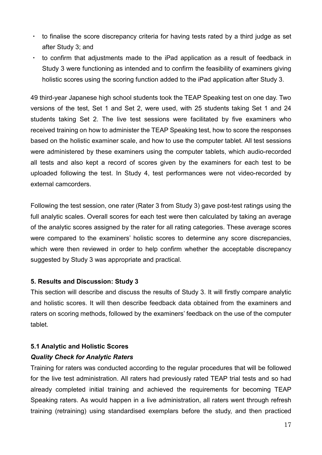- to finalise the score discrepancy criteria for having tests rated by a third judge as set after Study 3; and
- ・ to confirm that adjustments made to the iPad application as a result of feedback in Study 3 were functioning as intended and to confirm the feasibility of examiners giving holistic scores using the scoring function added to the iPad application after Study 3.

49 third-year Japanese high school students took the TEAP Speaking test on one day. Two versions of the test, Set 1 and Set 2, were used, with 25 students taking Set 1 and 24 students taking Set 2. The live test sessions were facilitated by five examiners who received training on how to administer the TEAP Speaking test, how to score the responses based on the holistic examiner scale, and how to use the computer tablet. All test sessions were administered by these examiners using the computer tablets, which audio-recorded all tests and also kept a record of scores given by the examiners for each test to be uploaded following the test. In Study 4, test performances were not video-recorded by external camcorders.

Following the test session, one rater (Rater 3 from Study 3) gave post-test ratings using the full analytic scales. Overall scores for each test were then calculated by taking an average of the analytic scores assigned by the rater for all rating categories. These average scores were compared to the examiners' holistic scores to determine any score discrepancies, which were then reviewed in order to help confirm whether the acceptable discrepancy suggested by Study 3 was appropriate and practical.

### **5. Results and Discussion: Study 3**

This section will describe and discuss the results of Study 3. It will firstly compare analytic and holistic scores. It will then describe feedback data obtained from the examiners and raters on scoring methods, followed by the examiners' feedback on the use of the computer tablet.

### **5.1 Analytic and Holistic Scores**

### *Quality Check for Analytic Raters*

Training for raters was conducted according to the regular procedures that will be followed for the live test administration. All raters had previously rated TEAP trial tests and so had already completed initial training and achieved the requirements for becoming TEAP Speaking raters. As would happen in a live administration, all raters went through refresh training (retraining) using standardised exemplars before the study, and then practiced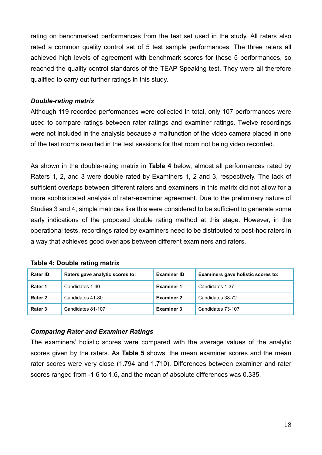rating on benchmarked performances from the test set used in the study. All raters also rated a common quality control set of 5 test sample performances. The three raters all achieved high levels of agreement with benchmark scores for these 5 performances, so reached the quality control standards of the TEAP Speaking test. They were all therefore qualified to carry out further ratings in this study.

### *Double-rating matrix*

Although 119 recorded performances were collected in total, only 107 performances were used to compare ratings between rater ratings and examiner ratings. Twelve recordings were not included in the analysis because a malfunction of the video camera placed in one of the test rooms resulted in the test sessions for that room not being video recorded.

As shown in the double-rating matrix in **Table 4** below, almost all performances rated by Raters 1, 2, and 3 were double rated by Examiners 1, 2 and 3, respectively. The lack of sufficient overlaps between different raters and examiners in this matrix did not allow for a more sophisticated analysis of rater-examiner agreement. Due to the preliminary nature of Studies 3 and 4, simple matrices like this were considered to be sufficient to generate some early indications of the proposed double rating method at this stage. However, in the operational tests, recordings rated by examiners need to be distributed to post-hoc raters in a way that achieves good overlaps between different examiners and raters.

| <b>Rater ID</b> | Raters gave analytic scores to: | <b>Examiner ID</b> | Examiners gave holistic scores to: |
|-----------------|---------------------------------|--------------------|------------------------------------|
| Rater 1         | Candidates 1-40                 | <b>Examiner 1</b>  | Candidates 1-37                    |
| Rater 2         | Candidates 41-80                | <b>Examiner 2</b>  | Candidates 38-72                   |
| Rater 3         | Candidates 81-107               | <b>Examiner 3</b>  | Candidates 73-107                  |

### **Table 4: Double rating matrix**

### *Comparing Rater and Examiner Ratings*

The examiners' holistic scores were compared with the average values of the analytic scores given by the raters. As **Table 5** shows, the mean examiner scores and the mean rater scores were very close (1.794 and 1.710). Differences between examiner and rater scores ranged from -1.6 to 1.6, and the mean of absolute differences was 0.335.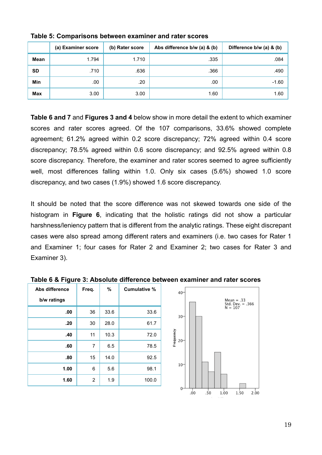|            | (a) Examiner score | (b) Rater score | Abs difference b/w (a) & (b) | Difference b/w (a) & (b) |
|------------|--------------------|-----------------|------------------------------|--------------------------|
| Mean       | 1.794              | 1.710           | .335                         | .084                     |
| <b>SD</b>  | .710               | .636            | .366                         | .490                     |
| Min        | .00                | .20             | .00                          | $-1.60$                  |
| <b>Max</b> | 3.00               | 3.00            | 1.60                         | 1.60                     |

**Table 5: Comparisons between examiner and rater scores** 

**Table 6 and 7** and **Figures 3 and 4** below show in more detail the extent to which examiner scores and rater scores agreed. Of the 107 comparisons, 33.6% showed complete agreement; 61.2% agreed within 0.2 score discrepancy; 72% agreed within 0.4 score discrepancy; 78.5% agreed within 0.6 score discrepancy; and 92.5% agreed within 0.8 score discrepancy. Therefore, the examiner and rater scores seemed to agree sufficiently well, most differences falling within 1.0. Only six cases (5.6%) showed 1.0 score discrepancy, and two cases (1.9%) showed 1.6 score discrepancy.

It should be noted that the score difference was not skewed towards one side of the histogram in **Figure 6**, indicating that the holistic ratings did not show a particular harshness/leniency pattern that is different from the analytic ratings. These eight discrepant cases were also spread among different raters and examiners (i.e. two cases for Rater 1 and Examiner 1; four cases for Rater 2 and Examiner 2; two cases for Rater 3 and Examiner 3).

| Abs difference | Freq. | %    | <b>Cumulative %</b> |
|----------------|-------|------|---------------------|
| b/w ratings    |       |      |                     |
| .00            | 36    | 33.6 | 33.6                |
| .20            | 30    | 28.0 | 61.7                |
| .40            | 11    | 10.3 | 72.0                |
| .60            | 7     | 6.5  | 78.5                |
| .80            | 15    | 14.0 | 92.5                |
| 1.00           | 6     | 5.6  | 98.1                |
| 1.60           | 2     | 1.9  | 100.0               |

**Table 6 & Figure 3: Absolute difference between examiner and rater scores**

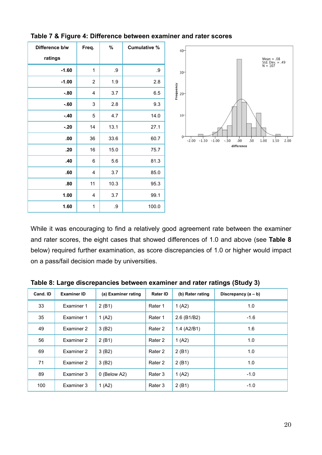| Difference b/w | Freq. | $\%$ | <b>Cumulative %</b> |
|----------------|-------|------|---------------------|
| ratings        |       |      |                     |
| $-1.60$        | 1     | .9   | .9                  |
| $-1.00$        | 2     | 1.9  | 2.8                 |
| $-.80$         | 4     | 3.7  | 6.5                 |
| $-60$          | 3     | 2.8  | 9.3                 |
| $-.40$         | 5     | 4.7  | 14.0                |
| $-.20$         | 14    | 13.1 | 27.1                |
| .00            | 36    | 33.6 | 60.7                |
| .20            | 16    | 15.0 | 75.7                |
| .40            | 6     | 5.6  | 81.3                |
| .60            | 4     | 3.7  | 85.0                |
| .80            | 11    | 10.3 | 95.3                |
| 1.00           | 4     | 3.7  | 99.1                |
| 1.60           | 1     | .9   | 100.0               |

**Table 7 & Figure 4: Difference between examiner and rater scores**



While it was encouraging to find a relatively good agreement rate between the examiner and rater scores, the eight cases that showed differences of 1.0 and above (see **Table 8** below) required further examination, as score discrepancies of 1.0 or higher would impact on a pass/fail decision made by universities.

| Cand. ID | <b>Examiner ID</b> | (a) Examiner rating | <b>Rater ID</b>    | (b) Rater rating | Discrepancy (a - b) |
|----------|--------------------|---------------------|--------------------|------------------|---------------------|
| 33       | Examiner 1         | 2(B1)               | Rater 1            | 1 $(A2)$         | 1.0                 |
| 35       | Examiner 1         | 1(A2)               | Rater 1            | 2.6 (B1/B2)      | $-1.6$              |
| 49       | Examiner 2         | 3(B2)               | Rater 2            | 1.4 (A2/B1)      | 1.6                 |
| 56       | Examiner 2         | 2(B1)               | Rater <sub>2</sub> | 1(A2)            | 1.0                 |
| 69       | Examiner 2         | 3(B2)               | Rater <sub>2</sub> | 2(B1)            | 1.0                 |
| 71       | Examiner 2         | 3(B2)               | Rater <sub>2</sub> | 2(B1)            | 1.0                 |
| 89       | Examiner 3         | 0 (Below A2)        | Rater 3            | 1(A2)            | $-1.0$              |
| 100      | Examiner 3         | 1(A2)               | Rater 3            | 2(B1)            | $-1.0$              |

**Table 8: Large discrepancies between examiner and rater ratings (Study 3)**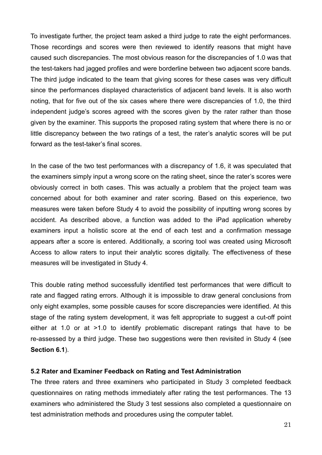To investigate further, the project team asked a third judge to rate the eight performances. Those recordings and scores were then reviewed to identify reasons that might have caused such discrepancies. The most obvious reason for the discrepancies of 1.0 was that the test-takers had jagged profiles and were borderline between two adjacent score bands. The third judge indicated to the team that giving scores for these cases was very difficult since the performances displayed characteristics of adjacent band levels. It is also worth noting, that for five out of the six cases where there were discrepancies of 1.0, the third independent judge's scores agreed with the scores given by the rater rather than those given by the examiner. This supports the proposed rating system that where there is no or little discrepancy between the two ratings of a test, the rater's analytic scores will be put forward as the test-taker's final scores.

In the case of the two test performances with a discrepancy of 1.6, it was speculated that the examiners simply input a wrong score on the rating sheet, since the rater's scores were obviously correct in both cases. This was actually a problem that the project team was concerned about for both examiner and rater scoring. Based on this experience, two measures were taken before Study 4 to avoid the possibility of inputting wrong scores by accident. As described above, a function was added to the iPad application whereby examiners input a holistic score at the end of each test and a confirmation message appears after a score is entered. Additionally, a scoring tool was created using Microsoft Access to allow raters to input their analytic scores digitally. The effectiveness of these measures will be investigated in Study 4.

This double rating method successfully identified test performances that were difficult to rate and flagged rating errors. Although it is impossible to draw general conclusions from only eight examples, some possible causes for score discrepancies were identified. At this stage of the rating system development, it was felt appropriate to suggest a cut-off point either at 1.0 or at >1.0 to identify problematic discrepant ratings that have to be re-assessed by a third judge. These two suggestions were then revisited in Study 4 (see **Section 6.1**).

### **5.2 Rater and Examiner Feedback on Rating and Test Administration**

The three raters and three examiners who participated in Study 3 completed feedback questionnaires on rating methods immediately after rating the test performances. The 13 examiners who administered the Study 3 test sessions also completed a questionnaire on test administration methods and procedures using the computer tablet.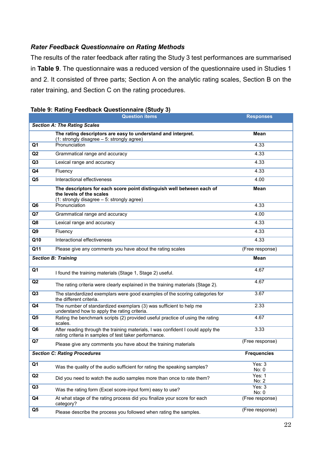### *Rater Feedback Questionnaire on Rating Methods*

The results of the rater feedback after rating the Study 3 test performances are summarised in **Table 9**. The questionnaire was a reduced version of the questionnaire used in Studies 1 and 2. It consisted of three parts; Section A on the analytic rating scales, Section B on the rater training, and Section C on the rating procedures.

|                | <b>Question items</b>                                                                                                                           | <b>Responses</b>   |
|----------------|-------------------------------------------------------------------------------------------------------------------------------------------------|--------------------|
|                | <b>Section A: The Rating Scales</b>                                                                                                             |                    |
|                | The rating descriptors are easy to understand and interpret.<br>(1: strongly disagree - 5: strongly agree)                                      | Mean               |
| Q1             | Pronunciation                                                                                                                                   | 4.33               |
| Q2             | Grammatical range and accuracy                                                                                                                  | 4.33               |
| Q3             | Lexical range and accuracy                                                                                                                      | 4.33               |
| Q4             | Fluency                                                                                                                                         | 4.33               |
| Q <sub>5</sub> | Interactional effectiveness                                                                                                                     | 4.00               |
|                | The descriptors for each score point distinguish well between each of<br>the levels of the scales<br>(1: strongly disagree - 5: strongly agree) | <b>Mean</b>        |
| Q <sub>6</sub> | Pronunciation                                                                                                                                   | 4.33               |
| Q7             | Grammatical range and accuracy                                                                                                                  | 4.00               |
| Q8             | Lexical range and accuracy                                                                                                                      | 4.33               |
| Q9             | Fluency                                                                                                                                         | 4.33               |
| Q10            | Interactional effectiveness                                                                                                                     | 4.33               |
| Q11            | Please give any comments you have about the rating scales                                                                                       | (Free response)    |
|                | <b>Section B: Training</b>                                                                                                                      | <b>Mean</b>        |
| Q1             | I found the training materials (Stage 1, Stage 2) useful.                                                                                       | 4.67               |
| Q <sub>2</sub> | The rating criteria were clearly explained in the training materials (Stage 2).                                                                 | 4.67               |
| Q3             | The standardized exemplars were good examples of the scoring categories for<br>the different criteria.                                          | 3.67               |
| Q4             | The number of standardized exemplars (3) was sufficient to help me<br>understand how to apply the rating criteria.                              | 2.33               |
| Q <sub>5</sub> | Rating the benchmark scripts (2) provided useful practice of using the rating<br>scales.                                                        | 4.67               |
| Q <sub>6</sub> | After reading through the training materials, I was confident I could apply the<br>rating criteria in samples of test taker performance.        | 3.33               |
| Q7             | Please give any comments you have about the training materials                                                                                  | (Free response)    |
|                | <b>Section C: Rating Procedures</b>                                                                                                             | <b>Frequencies</b> |
| Q1             | Was the quality of the audio sufficient for rating the speaking samples?                                                                        | Yes: $3$<br>No: 0  |
| Q2             | Did you need to watch the audio samples more than once to rate them?                                                                            | Yes: $1$<br>No: 2  |
| Q <sub>3</sub> | Was the rating form (Excel score-input form) easy to use?                                                                                       | Yes: $3$<br>No: 0  |
| Q4             | At what stage of the rating process did you finalize your score for each<br>category?                                                           | (Free response)    |
| Q5             | Please describe the process you followed when rating the samples.                                                                               | (Free response)    |

### **Table 9: Rating Feedback Questionnaire (Study 3)**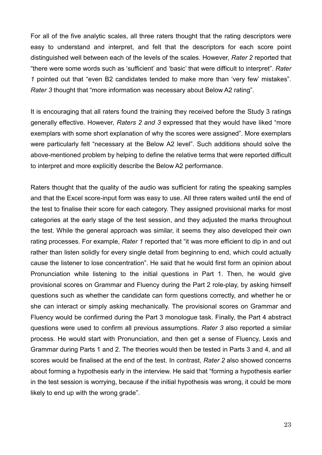For all of the five analytic scales, all three raters thought that the rating descriptors were easy to understand and interpret, and felt that the descriptors for each score point distinguished well between each of the levels of the scales. However, *Rater 2* reported that "there were some words such as 'sufficient' and 'basic' that were difficult to interpret". *Rater 1* pointed out that "even B2 candidates tended to make more than 'very few' mistakes". *Rater 3* thought that "more information was necessary about Below A2 rating".

It is encouraging that all raters found the training they received before the Study 3 ratings generally effective. However, *Raters 2 and 3* expressed that they would have liked "more exemplars with some short explanation of why the scores were assigned". More exemplars were particularly felt "necessary at the Below A2 level". Such additions should solve the above-mentioned problem by helping to define the relative terms that were reported difficult to interpret and more explicitly describe the Below A2 performance.

Raters thought that the quality of the audio was sufficient for rating the speaking samples and that the Excel score-input form was easy to use. All three raters waited until the end of the test to finalise their score for each category. They assigned provisional marks for most categories at the early stage of the test session, and they adjusted the marks throughout the test. While the general approach was similar, it seems they also developed their own rating processes. For example, *Rater 1* reported that "it was more efficient to dip in and out rather than listen solidly for every single detail from beginning to end, which could actually cause the listener to lose concentration". He said that he would first form an opinion about Pronunciation while listening to the initial questions in Part 1. Then, he would give provisional scores on Grammar and Fluency during the Part 2 role-play, by asking himself questions such as whether the candidate can form questions correctly, and whether he or she can interact or simply asking mechanically. The provisional scores on Grammar and Fluency would be confirmed during the Part 3 monologue task. Finally, the Part 4 abstract questions were used to confirm all previous assumptions. *Rater 3* also reported a similar process. He would start with Pronunciation, and then get a sense of Fluency, Lexis and Grammar during Parts 1 and 2. The theories would then be tested in Parts 3 and 4, and all scores would be finalised at the end of the test. In contrast, *Rater 2* also showed concerns about forming a hypothesis early in the interview. He said that "forming a hypothesis earlier in the test session is worrying, because if the initial hypothesis was wrong, it could be more likely to end up with the wrong grade".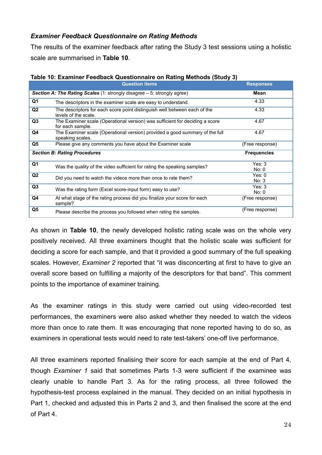### *Examiner Feedback Questionnaire on Rating Methods*

The results of the examiner feedback after rating the Study 3 test sessions using a holistic scale are summarised in **Table 10**.

|                | <b>Question items</b>                                                                             | <b>Responses</b>   |
|----------------|---------------------------------------------------------------------------------------------------|--------------------|
|                | Section A: The Rating Scales (1: strongly disagree - 5: strongly agree)                           | Mean               |
| Q1             | The descriptors in the examiner scale are easy to understand.                                     | 4.33               |
| Q <sub>2</sub> | The descriptors for each score point distinguish well between each of the<br>levels of the scale. | 4.33               |
| Q3             | The Examiner scale (Operational version) was sufficient for deciding a score<br>for each sample.  | 4.67               |
| Q4             | The Examiner scale (Operational version) provided a good summary of the full<br>speaking scales.  | 4.67               |
| Q5             | Please give any comments you have about the Examiner scale                                        | (Free response)    |
|                |                                                                                                   |                    |
|                | <b>Section B: Rating Procedures</b>                                                               | <b>Frequencies</b> |
| Q1             | Was the quality of the video sufficient for rating the speaking samples?                          | Yes: 3<br>No: 0    |
| Q <sub>2</sub> | Did you need to watch the videos more than once to rate them?                                     | Yes: 0<br>No: 3    |
| Q <sub>3</sub> | Was the rating form (Excel score-input form) easy to use?                                         | Yes: 3<br>No: 0    |
| Q4             | At what stage of the rating process did you finalize your score for each<br>sample?               | (Free response)    |

#### **Table 10: Examiner Feedback Questionnaire on Rating Methods (Study 3)**

As shown in **Table 10**, the newly developed holistic rating scale was on the whole very positively received. All three examiners thought that the holistic scale was sufficient for deciding a score for each sample, and that it provided a good summary of the full speaking scales. However, *Examiner 2* reported that "it was disconcerting at first to have to give an overall score based on fulfilling a majority of the descriptors for that band". This comment points to the importance of examiner training.

As the examiner ratings in this study were carried out using video-recorded test performances, the examiners were also asked whether they needed to watch the videos more than once to rate them. It was encouraging that none reported having to do so, as examiners in operational tests would need to rate test-takers' one-off live performance.

All three examiners reported finalising their score for each sample at the end of Part 4, though *Examiner 1* said that sometimes Parts 1-3 were sufficient if the examinee was clearly unable to handle Part 3. As for the rating process, all three followed the hypothesis-test process explained in the manual. They decided on an initial hypothesis in Part 1, checked and adjusted this in Parts 2 and 3, and then finalised the score at the end of Part 4.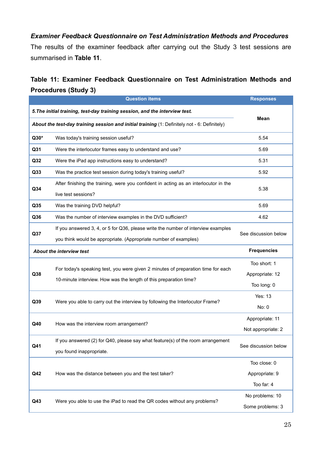## *Examiner Feedback Questionnaire on Test Administration Methods and Procedures*

The results of the examiner feedback after carrying out the Study 3 test sessions are summarised in **Table 11**.

# **Table 11: Examiner Feedback Questionnaire on Test Administration Methods and Procedures (Study 3)**

|                                                                             | <b>Question items</b>                                                                                                                                 | <b>Responses</b>                               |
|-----------------------------------------------------------------------------|-------------------------------------------------------------------------------------------------------------------------------------------------------|------------------------------------------------|
| 5. The initial training, test-day training session, and the interview test. |                                                                                                                                                       |                                                |
|                                                                             | About the test-day training session and initial training (1: Definitely not - 6: Definitely)                                                          | Mean                                           |
| Q30*                                                                        | Was today's training session useful?                                                                                                                  | 5.54                                           |
| Q31                                                                         | Were the interlocutor frames easy to understand and use?                                                                                              | 5.69                                           |
| Q32                                                                         | Were the iPad app instructions easy to understand?                                                                                                    | 5.31                                           |
| Q33                                                                         | Was the practice test session during today's training useful?                                                                                         | 5.92                                           |
| Q <sub>34</sub>                                                             | After finishing the training, were you confident in acting as an interlocutor in the<br>live test sessions?                                           | 5.38                                           |
| Q35                                                                         | Was the training DVD helpful?                                                                                                                         | 5.69                                           |
| Q36                                                                         | Was the number of interview examples in the DVD sufficient?                                                                                           | 4.62                                           |
| Q37                                                                         | If you answered 3, 4, or 5 for Q36, please write the number of interview examples<br>you think would be appropriate. (Appropriate number of examples) | See discussion below                           |
|                                                                             | <b>About the interview test</b>                                                                                                                       | <b>Frequencies</b>                             |
| Q <sub>38</sub>                                                             | For today's speaking test, you were given 2 minutes of preparation time for each<br>10-minute interview. How was the length of this preparation time? | Too short: 1<br>Appropriate: 12<br>Too long: 0 |
| Q39                                                                         | Were you able to carry out the interview by following the Interlocutor Frame?                                                                         | Yes: 13<br>No: 0                               |
| Q40                                                                         | How was the interview room arrangement?                                                                                                               | Appropriate: 11<br>Not appropriate: 2          |
| Q41                                                                         | If you answered (2) for Q40, please say what feature(s) of the room arrangement<br>you found inappropriate.                                           | See discussion below                           |
| Q42                                                                         | How was the distance between you and the test taker?                                                                                                  | Too close: 0<br>Appropriate: 9<br>Too far: 4   |
| Q43                                                                         | Were you able to use the iPad to read the QR codes without any problems?                                                                              | No problems: 10<br>Some problems: 3            |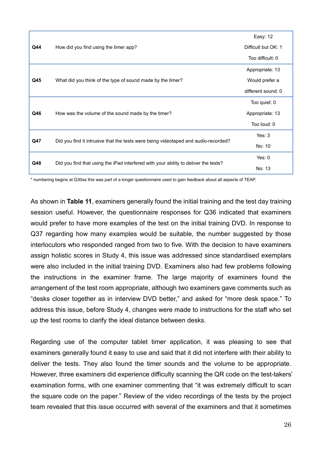|     |                                                                                     | Easy: 12            |
|-----|-------------------------------------------------------------------------------------|---------------------|
| Q44 | How did you find using the timer app?                                               | Difficult but OK: 1 |
|     |                                                                                     | Too difficult: 0    |
|     |                                                                                     | Appropriate: 13     |
| Q45 | What did you think of the type of sound made by the timer?                          | Would prefer a      |
|     |                                                                                     | different sound: 0  |
|     |                                                                                     | Too quiet: 0        |
| Q46 | How was the volume of the sound made by the timer?                                  | Appropriate: 13     |
|     |                                                                                     | Too loud: 0         |
| Q47 |                                                                                     | Yes: 3              |
|     | Did you find it intrusive that the tests were being videotaped and audio-recorded?  | No: 10              |
| Q48 |                                                                                     | Yes: 0              |
|     | Did you find that using the iPad interfered with your ability to deliver the tests? | No: 13              |

\* numbering begins at Q30as this was part of a longer questionnaire used to gain feedback about all aspects of TEAP.

As shown in **Table 11**, examiners generally found the initial training and the test day training session useful. However, the questionnaire responses for Q36 indicated that examiners would prefer to have more examples of the test on the initial training DVD. In response to Q37 regarding how many examples would be suitable, the number suggested by those interlocutors who responded ranged from two to five. With the decision to have examiners assign holistic scores in Study 4, this issue was addressed since standardised exemplars were also included in the initial training DVD. Examiners also had few problems following the instructions in the examiner frame. The large majority of examiners found the arrangement of the test room appropriate, although two examiners gave comments such as "desks closer together as in interview DVD better," and asked for "more desk space." To address this issue, before Study 4, changes were made to instructions for the staff who set up the test rooms to clarify the ideal distance between desks.

Regarding use of the computer tablet timer application, it was pleasing to see that examiners generally found it easy to use and said that it did not interfere with their ability to deliver the tests. They also found the timer sounds and the volume to be appropriate. However, three examiners did experience difficulty scanning the QR code on the test-takers' examination forms, with one examiner commenting that "it was extremely difficult to scan the square code on the paper." Review of the video recordings of the tests by the project team revealed that this issue occurred with several of the examiners and that it sometimes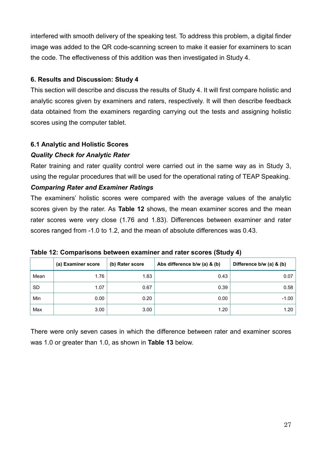interfered with smooth delivery of the speaking test. To address this problem, a digital finder image was added to the QR code-scanning screen to make it easier for examiners to scan the code. The effectiveness of this addition was then investigated in Study 4.

### **6. Results and Discussion: Study 4**

This section will describe and discuss the results of Study 4. It will first compare holistic and analytic scores given by examiners and raters, respectively. It will then describe feedback data obtained from the examiners regarding carrying out the tests and assigning holistic scores using the computer tablet.

### **6.1 Analytic and Holistic Scores**

### *Quality Check for Analytic Rater*

Rater training and rater quality control were carried out in the same way as in Study 3, using the regular procedures that will be used for the operational rating of TEAP Speaking.

### *Comparing Rater and Examiner Ratings*

The examiners' holistic scores were compared with the average values of the analytic scores given by the rater. As **Table 12** shows, the mean examiner scores and the mean rater scores were very close (1.76 and 1.83). Differences between examiner and rater scores ranged from -1.0 to 1.2, and the mean of absolute differences was 0.43.

| Table 12: Comparisons between examiner and rater scores (Study 4) |  |  |  |  |  |
|-------------------------------------------------------------------|--|--|--|--|--|
|-------------------------------------------------------------------|--|--|--|--|--|

|           | (a) Examiner score | (b) Rater score | Abs difference b/w (a) & (b) | Difference b/w (a) & (b) |
|-----------|--------------------|-----------------|------------------------------|--------------------------|
| Mean      | 1.76               | 1.83            | 0.43                         | 0.07                     |
| <b>SD</b> | 1.07               | 0.67            | 0.39                         | 0.58                     |
| Min       | 0.00               | 0.20            | 0.00                         | $-1.00$                  |
| Max       | 3.00               | 3.00            | 1.20                         | 1.20                     |

There were only seven cases in which the difference between rater and examiner scores was 1.0 or greater than 1.0, as shown in **Table 13** below.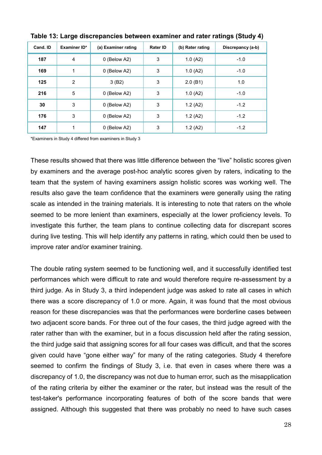| Cand. ID | Examiner ID* | (a) Examiner rating | <b>Rater ID</b> | (b) Rater rating | Discrepancy (a-b) |
|----------|--------------|---------------------|-----------------|------------------|-------------------|
| 187      | 4            | 0 (Below A2)        | 3               | 1.0(A2)          | $-1.0$            |
| 169      | 1            | 0 (Below A2)        | 3               | 1.0(A2)          | $-1.0$            |
| 125      | 2            | 3(B2)               | 3               | 2.0(B1)          | 1.0               |
| 216      | 5            | 0 (Below A2)        | 3               | 1.0(A2)          | $-1.0$            |
| 30       | 3            | 0 (Below A2)        | 3               | 1.2(A2)          | $-1.2$            |
| 176      | 3            | 0 (Below A2)        | 3               | 1.2(A2)          | $-1.2$            |
| 147      | 1            | 0 (Below A2)        | 3               | 1.2(A2)          | $-1.2$            |

**Table 13: Large discrepancies between examiner and rater ratings (Study 4)** 

\*Examiners in Study 4 differed from examiners in Study 3

These results showed that there was little difference between the "live" holistic scores given by examiners and the average post-hoc analytic scores given by raters, indicating to the team that the system of having examiners assign holistic scores was working well. The results also gave the team confidence that the examiners were generally using the rating scale as intended in the training materials. It is interesting to note that raters on the whole seemed to be more lenient than examiners, especially at the lower proficiency levels. To investigate this further, the team plans to continue collecting data for discrepant scores during live testing. This will help identify any patterns in rating, which could then be used to improve rater and/or examiner training.

The double rating system seemed to be functioning well, and it successfully identified test performances which were difficult to rate and would therefore require re-assessment by a third judge. As in Study 3, a third independent judge was asked to rate all cases in which there was a score discrepancy of 1.0 or more. Again, it was found that the most obvious reason for these discrepancies was that the performances were borderline cases between two adjacent score bands. For three out of the four cases, the third judge agreed with the rater rather than with the examiner, but in a focus discussion held after the rating session, the third judge said that assigning scores for all four cases was difficult, and that the scores given could have "gone either way" for many of the rating categories. Study 4 therefore seemed to confirm the findings of Study 3, i.e. that even in cases where there was a discrepancy of 1.0, the discrepancy was not due to human error, such as the misapplication of the rating criteria by either the examiner or the rater, but instead was the result of the test-taker's performance incorporating features of both of the score bands that were assigned. Although this suggested that there was probably no need to have such cases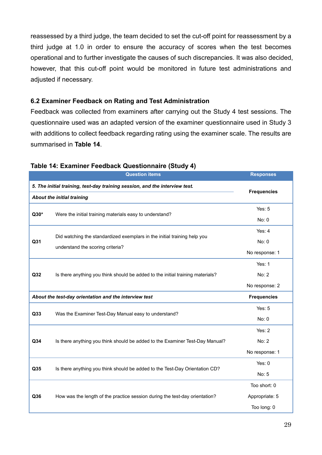reassessed by a third judge, the team decided to set the cut-off point for reassessment by a third judge at 1.0 in order to ensure the accuracy of scores when the test becomes operational and to further investigate the causes of such discrepancies. It was also decided, however, that this cut-off point would be monitored in future test administrations and adjusted if necessary.

### **6.2 Examiner Feedback on Rating and Test Administration**

Feedback was collected from examiners after carrying out the Study 4 test sessions. The questionnaire used was an adapted version of the examiner questionnaire used in Study 3 with additions to collect feedback regarding rating using the examiner scale. The results are summarised in **Table 14**.

|                                                                             | <b>Question items</b>                                                          | <b>Responses</b>   |
|-----------------------------------------------------------------------------|--------------------------------------------------------------------------------|--------------------|
| 5. The initial training, test-day training session, and the interview test. |                                                                                |                    |
| About the initial training                                                  | <b>Frequencies</b>                                                             |                    |
|                                                                             |                                                                                | Yes: $5$           |
| $Q30*$                                                                      | Were the initial training materials easy to understand?                        | No: 0              |
|                                                                             |                                                                                | Yes: 4             |
| Q31                                                                         | Did watching the standardized exemplars in the initial training help you       | No: 0              |
|                                                                             | understand the scoring criteria?                                               | No response: 1     |
|                                                                             |                                                                                | Yes: 1             |
| Q32                                                                         | Is there anything you think should be added to the initial training materials? | No: 2              |
|                                                                             |                                                                                | No response: 2     |
|                                                                             | About the test-day orientation and the interview test                          | <b>Frequencies</b> |
| Q33                                                                         |                                                                                | Yes: $5$           |
|                                                                             | Was the Examiner Test-Day Manual easy to understand?                           | No: 0              |
|                                                                             |                                                                                | Yes: $2$           |
| Q34                                                                         | Is there anything you think should be added to the Examiner Test-Day Manual?   | No: 2              |
|                                                                             |                                                                                | No response: 1     |
|                                                                             |                                                                                | Yes: $0$           |
| Q35                                                                         | Is there anything you think should be added to the Test-Day Orientation CD?    | No: 5              |
|                                                                             |                                                                                | Too short: 0       |
| Q36                                                                         | How was the length of the practice session during the test-day orientation?    | Appropriate: 5     |
|                                                                             |                                                                                | Too long: 0        |

### **Table 14: Examiner Feedback Questionnaire (Study 4)**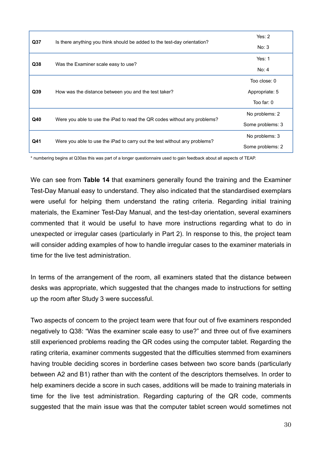| Q <sub>37</sub> |                                                                           | Yes: $2$         |
|-----------------|---------------------------------------------------------------------------|------------------|
|                 | Is there anything you think should be added to the test-day orientation?  | No: 3            |
| Q <sub>38</sub> | Was the Examiner scale easy to use?                                       | Yes: $1$         |
|                 |                                                                           | No: 4            |
|                 |                                                                           | Too close: 0     |
| Q39             | How was the distance between you and the test taker?                      | Appropriate: 5   |
|                 |                                                                           | Too far: 0       |
| Q40             |                                                                           | No problems: 2   |
|                 | Were you able to use the iPad to read the QR codes without any problems?  | Some problems: 3 |
| Q41             |                                                                           | No problems: 3   |
|                 | Were you able to use the iPad to carry out the test without any problems? | Some problems: 2 |

\* numbering begins at Q30as this was part of a longer questionnaire used to gain feedback about all aspects of TEAP.

We can see from **Table 14** that examiners generally found the training and the Examiner Test-Day Manual easy to understand. They also indicated that the standardised exemplars were useful for helping them understand the rating criteria. Regarding initial training materials, the Examiner Test-Day Manual, and the test-day orientation, several examiners commented that it would be useful to have more instructions regarding what to do in unexpected or irregular cases (particularly in Part 2). In response to this, the project team will consider adding examples of how to handle irregular cases to the examiner materials in time for the live test administration.

In terms of the arrangement of the room, all examiners stated that the distance between desks was appropriate, which suggested that the changes made to instructions for setting up the room after Study 3 were successful.

Two aspects of concern to the project team were that four out of five examiners responded negatively to Q38: "Was the examiner scale easy to use?" and three out of five examiners still experienced problems reading the QR codes using the computer tablet. Regarding the rating criteria, examiner comments suggested that the difficulties stemmed from examiners having trouble deciding scores in borderline cases between two score bands (particularly between A2 and B1) rather than with the content of the descriptors themselves. In order to help examiners decide a score in such cases, additions will be made to training materials in time for the live test administration. Regarding capturing of the QR code, comments suggested that the main issue was that the computer tablet screen would sometimes not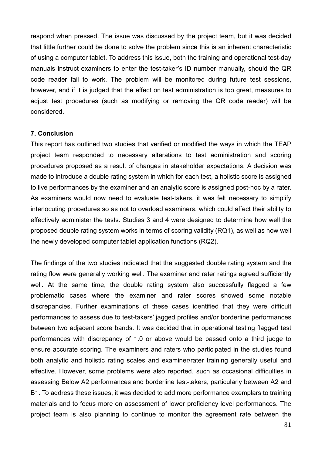respond when pressed. The issue was discussed by the project team, but it was decided that little further could be done to solve the problem since this is an inherent characteristic of using a computer tablet. To address this issue, both the training and operational test-day manuals instruct examiners to enter the test-taker's ID number manually, should the QR code reader fail to work. The problem will be monitored during future test sessions, however, and if it is judged that the effect on test administration is too great, measures to adjust test procedures (such as modifying or removing the QR code reader) will be considered.

#### **7. Conclusion**

This report has outlined two studies that verified or modified the ways in which the TEAP project team responded to necessary alterations to test administration and scoring procedures proposed as a result of changes in stakeholder expectations. A decision was made to introduce a double rating system in which for each test, a holistic score is assigned to live performances by the examiner and an analytic score is assigned post-hoc by a rater. As examiners would now need to evaluate test-takers, it was felt necessary to simplify interlocuting procedures so as not to overload examiners, which could affect their ability to effectively administer the tests. Studies 3 and 4 were designed to determine how well the proposed double rating system works in terms of scoring validity (RQ1), as well as how well the newly developed computer tablet application functions (RQ2).

The findings of the two studies indicated that the suggested double rating system and the rating flow were generally working well. The examiner and rater ratings agreed sufficiently well. At the same time, the double rating system also successfully flagged a few problematic cases where the examiner and rater scores showed some notable discrepancies. Further examinations of these cases identified that they were difficult performances to assess due to test-takers' jagged profiles and/or borderline performances between two adjacent score bands. It was decided that in operational testing flagged test performances with discrepancy of 1.0 or above would be passed onto a third judge to ensure accurate scoring. The examiners and raters who participated in the studies found both analytic and holistic rating scales and examiner/rater training generally useful and effective. However, some problems were also reported, such as occasional difficulties in assessing Below A2 performances and borderline test-takers, particularly between A2 and B1. To address these issues, it was decided to add more performance exemplars to training materials and to focus more on assessment of lower proficiency level performances. The project team is also planning to continue to monitor the agreement rate between the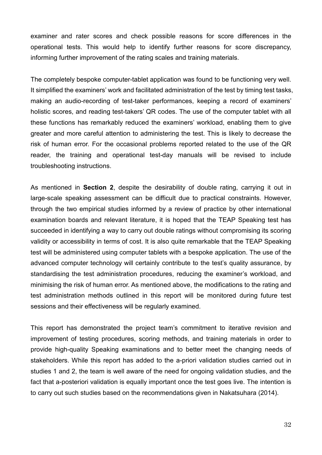examiner and rater scores and check possible reasons for score differences in the operational tests. This would help to identify further reasons for score discrepancy, informing further improvement of the rating scales and training materials.

The completely bespoke computer-tablet application was found to be functioning very well. It simplified the examiners' work and facilitated administration of the test by timing test tasks, making an audio-recording of test-taker performances, keeping a record of examiners' holistic scores, and reading test-takers' QR codes. The use of the computer tablet with all these functions has remarkably reduced the examiners' workload, enabling them to give greater and more careful attention to administering the test. This is likely to decrease the risk of human error. For the occasional problems reported related to the use of the QR reader, the training and operational test-day manuals will be revised to include troubleshooting instructions.

As mentioned in **Section 2**, despite the desirability of double rating, carrying it out in large-scale speaking assessment can be difficult due to practical constraints. However, through the two empirical studies informed by a review of practice by other international examination boards and relevant literature, it is hoped that the TEAP Speaking test has succeeded in identifying a way to carry out double ratings without compromising its scoring validity or accessibility in terms of cost. It is also quite remarkable that the TEAP Speaking test will be administered using computer tablets with a bespoke application. The use of the advanced computer technology will certainly contribute to the test's quality assurance, by standardising the test administration procedures, reducing the examiner's workload, and minimising the risk of human error. As mentioned above, the modifications to the rating and test administration methods outlined in this report will be monitored during future test sessions and their effectiveness will be regularly examined.

This report has demonstrated the project team's commitment to iterative revision and improvement of testing procedures, scoring methods, and training materials in order to provide high-quality Speaking examinations and to better meet the changing needs of stakeholders. While this report has added to the a-priori validation studies carried out in studies 1 and 2, the team is well aware of the need for ongoing validation studies, and the fact that a-posteriori validation is equally important once the test goes live. The intention is to carry out such studies based on the recommendations given in Nakatsuhara (2014).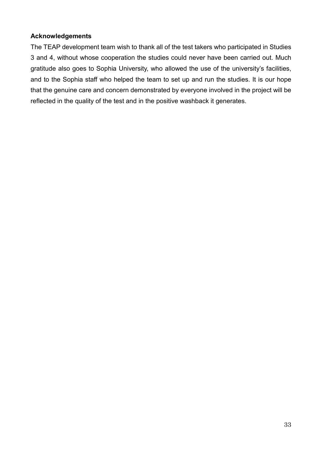### **Acknowledgements**

The TEAP development team wish to thank all of the test takers who participated in Studies 3 and 4, without whose cooperation the studies could never have been carried out. Much gratitude also goes to Sophia University, who allowed the use of the university's facilities, and to the Sophia staff who helped the team to set up and run the studies. It is our hope that the genuine care and concern demonstrated by everyone involved in the project will be reflected in the quality of the test and in the positive washback it generates.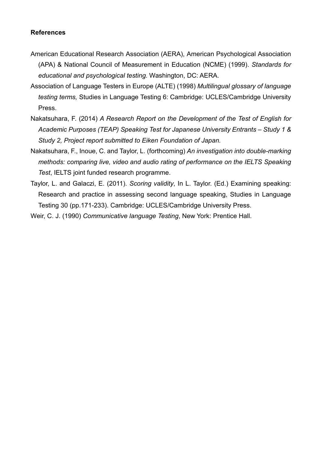### **References**

- American Educational Research Association (AERA), American Psychological Association (APA) & National Council of Measurement in Education (NCME) (1999). *Standards for educational and psychological testing.* Washington, DC: AERA.
- Association of Language Testers in Europe (ALTE) (1998) *Multilingual glossary of language testing terms,* Studies in Language Testing 6: Cambridge: UCLES/Cambridge University Press.
- Nakatsuhara, F. (2014) *A Research Report on the Development of the Test of English for Academic Purposes (TEAP) Speaking Test for Japanese University Entrants – Study 1 & Study 2, Project report submitted to Eiken Foundation of Japan.*
- Nakatsuhara, F., Inoue, C. and Taylor, L. (forthcoming) *An investigation into double-marking methods: comparing live, video and audio rating of performance on the IELTS Speaking Test*, IELTS joint funded research programme.
- Taylor, L. and Galaczi, E. (2011). *Scoring validity*, In L. Taylor. (Ed.) Examining speaking: Research and practice in assessing second language speaking, Studies in Language Testing 30 (pp.171-233). Cambridge: UCLES/Cambridge University Press.
- Weir, C. J. (1990) *Communicative language Testing*, New York: Prentice Hall.